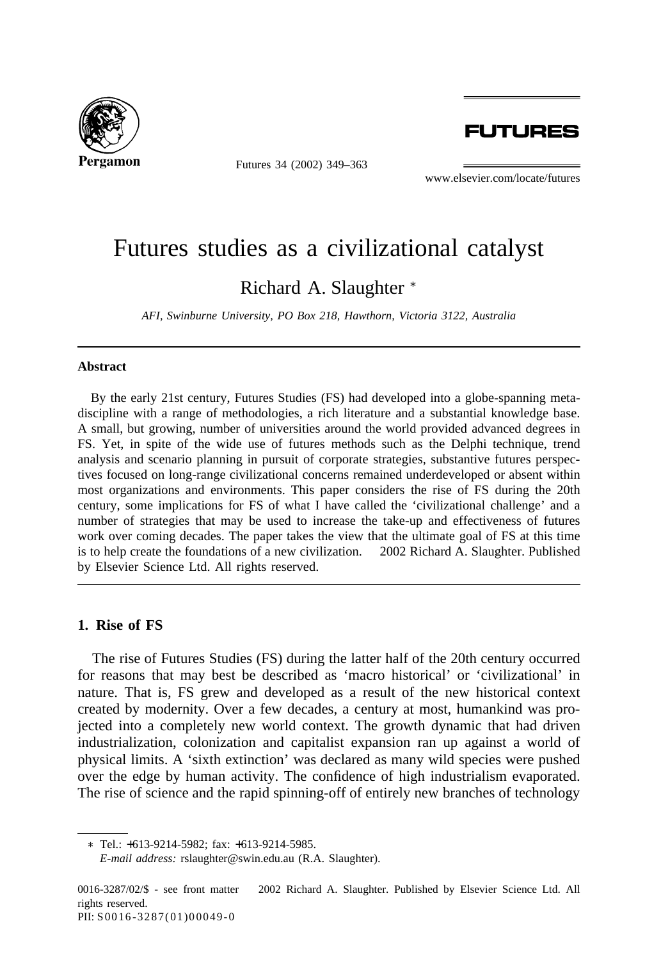

Futures 34 (2002) 349–363



www.elsevier.com/locate/futures

# Futures studies as a civilizational catalyst

Richard A. Slaughter <sup>∗</sup>

*AFI, Swinburne University, PO Box 218, Hawthorn, Victoria 3122, Australia*

#### **Abstract**

By the early 21st century, Futures Studies (FS) had developed into a globe-spanning metadiscipline with a range of methodologies, a rich literature and a substantial knowledge base. A small, but growing, number of universities around the world provided advanced degrees in FS. Yet, in spite of the wide use of futures methods such as the Delphi technique, trend analysis and scenario planning in pursuit of corporate strategies, substantive futures perspectives focused on long-range civilizational concerns remained underdeveloped or absent within most organizations and environments. This paper considers the rise of FS during the 20th century, some implications for FS of what I have called the 'civilizational challenge' and a number of strategies that may be used to increase the take-up and effectiveness of futures work over coming decades. The paper takes the view that the ultimate goal of FS at this time is to help create the foundations of a new civilization.  $\odot$  2002 Richard A. Slaughter. Published by Elsevier Science Ltd. All rights reserved.

# **1. Rise of FS**

The rise of Futures Studies (FS) during the latter half of the 20th century occurred for reasons that may best be described as 'macro historical' or 'civilizational' in nature. That is, FS grew and developed as a result of the new historical context created by modernity. Over a few decades, a century at most, humankind was projected into a completely new world context. The growth dynamic that had driven industrialization, colonization and capitalist expansion ran up against a world of physical limits. A 'sixth extinction' was declared as many wild species were pushed over the edge by human activity. The confidence of high industrialism evaporated. The rise of science and the rapid spinning-off of entirely new branches of technology

*E-mail address:* rslaughter@swin.edu.au (R.A. Slaughter).

<sup>∗</sup> Tel.: +613-9214-5982; fax: +613-9214-5985.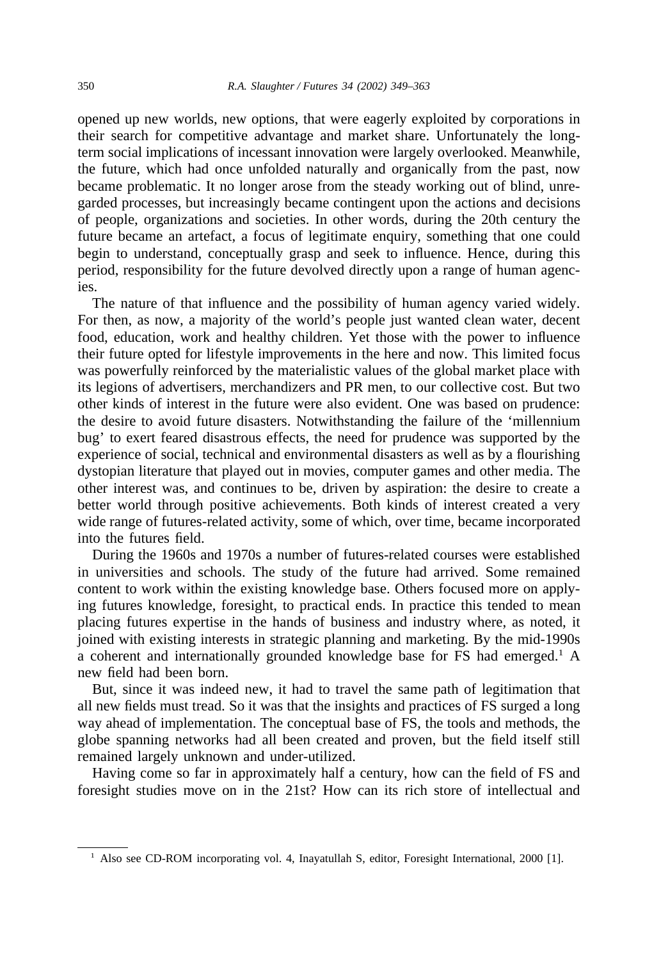opened up new worlds, new options, that were eagerly exploited by corporations in their search for competitive advantage and market share. Unfortunately the longterm social implications of incessant innovation were largely overlooked. Meanwhile, the future, which had once unfolded naturally and organically from the past, now became problematic. It no longer arose from the steady working out of blind, unregarded processes, but increasingly became contingent upon the actions and decisions of people, organizations and societies. In other words, during the 20th century the future became an artefact, a focus of legitimate enquiry, something that one could begin to understand, conceptually grasp and seek to influence. Hence, during this period, responsibility for the future devolved directly upon a range of human agencies.

The nature of that influence and the possibility of human agency varied widely. For then, as now, a majority of the world's people just wanted clean water, decent food, education, work and healthy children. Yet those with the power to influence their future opted for lifestyle improvements in the here and now. This limited focus was powerfully reinforced by the materialistic values of the global market place with its legions of advertisers, merchandizers and PR men, to our collective cost. But two other kinds of interest in the future were also evident. One was based on prudence: the desire to avoid future disasters. Notwithstanding the failure of the 'millennium bug' to exert feared disastrous effects, the need for prudence was supported by the experience of social, technical and environmental disasters as well as by a flourishing dystopian literature that played out in movies, computer games and other media. The other interest was, and continues to be, driven by aspiration: the desire to create a better world through positive achievements. Both kinds of interest created a very wide range of futures-related activity, some of which, over time, became incorporated into the futures field.

During the 1960s and 1970s a number of futures-related courses were established in universities and schools. The study of the future had arrived. Some remained content to work within the existing knowledge base. Others focused more on applying futures knowledge, foresight, to practical ends. In practice this tended to mean placing futures expertise in the hands of business and industry where, as noted, it joined with existing interests in strategic planning and marketing. By the mid-1990s a coherent and internationally grounded knowledge base for FS had emerged.1 A new field had been born.

But, since it was indeed new, it had to travel the same path of legitimation that all new fields must tread. So it was that the insights and practices of FS surged a long way ahead of implementation. The conceptual base of FS, the tools and methods, the globe spanning networks had all been created and proven, but the field itself still remained largely unknown and under-utilized.

Having come so far in approximately half a century, how can the field of FS and foresight studies move on in the 21st? How can its rich store of intellectual and

<sup>&</sup>lt;sup>1</sup> Also see CD-ROM incorporating vol. 4, Inayatullah S, editor, Foresight International, 2000 [1].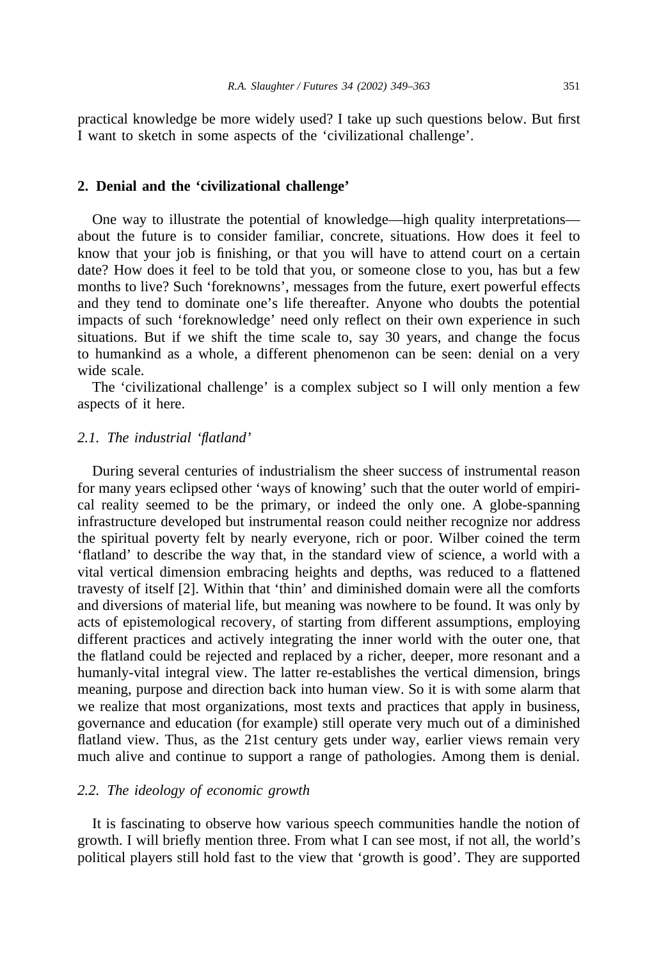practical knowledge be more widely used? I take up such questions below. But first I want to sketch in some aspects of the 'civilizational challenge'.

#### **2. Denial and the 'civilizational challenge'**

One way to illustrate the potential of knowledge—high quality interpretations about the future is to consider familiar, concrete, situations. How does it feel to know that your job is finishing, or that you will have to attend court on a certain date? How does it feel to be told that you, or someone close to you, has but a few months to live? Such 'foreknowns', messages from the future, exert powerful effects and they tend to dominate one's life thereafter. Anyone who doubts the potential impacts of such 'foreknowledge' need only reflect on their own experience in such situations. But if we shift the time scale to, say 30 years, and change the focus to humankind as a whole, a different phenomenon can be seen: denial on a very wide scale.

The 'civilizational challenge' is a complex subject so I will only mention a few aspects of it here.

### *2.1. The industrial 'flatland'*

During several centuries of industrialism the sheer success of instrumental reason for many years eclipsed other 'ways of knowing' such that the outer world of empirical reality seemed to be the primary, or indeed the only one. A globe-spanning infrastructure developed but instrumental reason could neither recognize nor address the spiritual poverty felt by nearly everyone, rich or poor. Wilber coined the term 'flatland' to describe the way that, in the standard view of science, a world with a vital vertical dimension embracing heights and depths, was reduced to a flattened travesty of itself [2]. Within that 'thin' and diminished domain were all the comforts and diversions of material life, but meaning was nowhere to be found. It was only by acts of epistemological recovery, of starting from different assumptions, employing different practices and actively integrating the inner world with the outer one, that the flatland could be rejected and replaced by a richer, deeper, more resonant and a humanly-vital integral view. The latter re-establishes the vertical dimension, brings meaning, purpose and direction back into human view. So it is with some alarm that we realize that most organizations, most texts and practices that apply in business, governance and education (for example) still operate very much out of a diminished flatland view. Thus, as the 21st century gets under way, earlier views remain very much alive and continue to support a range of pathologies. Among them is denial.

# *2.2. The ideology of economic growth*

It is fascinating to observe how various speech communities handle the notion of growth. I will briefly mention three. From what I can see most, if not all, the world's political players still hold fast to the view that 'growth is good'. They are supported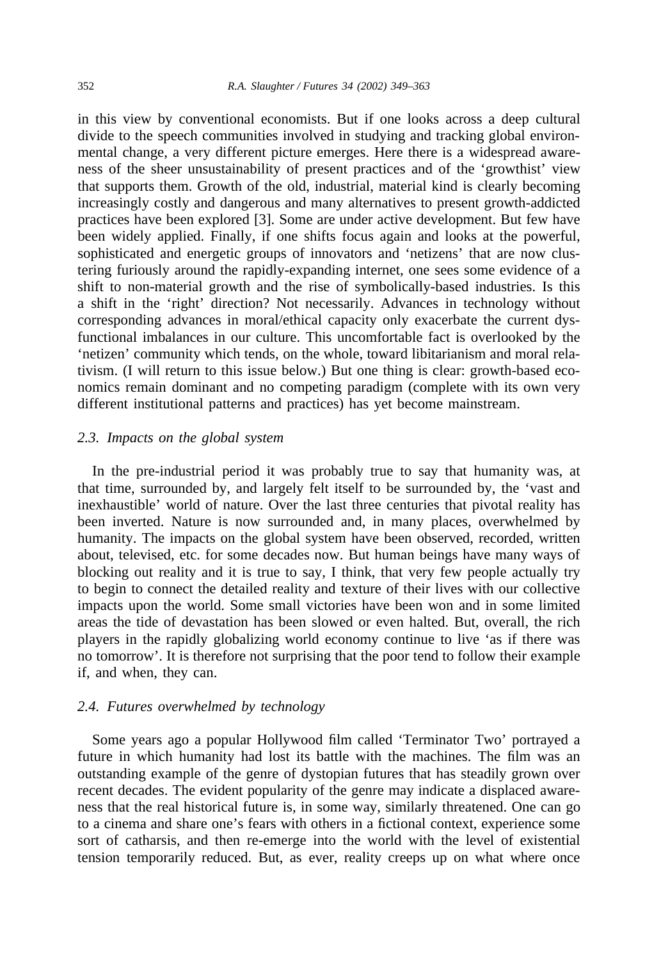in this view by conventional economists. But if one looks across a deep cultural divide to the speech communities involved in studying and tracking global environmental change, a very different picture emerges. Here there is a widespread awareness of the sheer unsustainability of present practices and of the 'growthist' view that supports them. Growth of the old, industrial, material kind is clearly becoming increasingly costly and dangerous and many alternatives to present growth-addicted practices have been explored [3]. Some are under active development. But few have been widely applied. Finally, if one shifts focus again and looks at the powerful, sophisticated and energetic groups of innovators and 'netizens' that are now clustering furiously around the rapidly-expanding internet, one sees some evidence of a shift to non-material growth and the rise of symbolically-based industries. Is this a shift in the 'right' direction? Not necessarily. Advances in technology without corresponding advances in moral/ethical capacity only exacerbate the current dysfunctional imbalances in our culture. This uncomfortable fact is overlooked by the 'netizen' community which tends, on the whole, toward libitarianism and moral relativism. (I will return to this issue below.) But one thing is clear: growth-based economics remain dominant and no competing paradigm (complete with its own very different institutional patterns and practices) has yet become mainstream.

# *2.3. Impacts on the global system*

In the pre-industrial period it was probably true to say that humanity was, at that time, surrounded by, and largely felt itself to be surrounded by, the 'vast and inexhaustible' world of nature. Over the last three centuries that pivotal reality has been inverted. Nature is now surrounded and, in many places, overwhelmed by humanity. The impacts on the global system have been observed, recorded, written about, televised, etc. for some decades now. But human beings have many ways of blocking out reality and it is true to say, I think, that very few people actually try to begin to connect the detailed reality and texture of their lives with our collective impacts upon the world. Some small victories have been won and in some limited areas the tide of devastation has been slowed or even halted. But, overall, the rich players in the rapidly globalizing world economy continue to live 'as if there was no tomorrow'. It is therefore not surprising that the poor tend to follow their example if, and when, they can.

# *2.4. Futures overwhelmed by technology*

Some years ago a popular Hollywood film called 'Terminator Two' portrayed a future in which humanity had lost its battle with the machines. The film was an outstanding example of the genre of dystopian futures that has steadily grown over recent decades. The evident popularity of the genre may indicate a displaced awareness that the real historical future is, in some way, similarly threatened. One can go to a cinema and share one's fears with others in a fictional context, experience some sort of catharsis, and then re-emerge into the world with the level of existential tension temporarily reduced. But, as ever, reality creeps up on what where once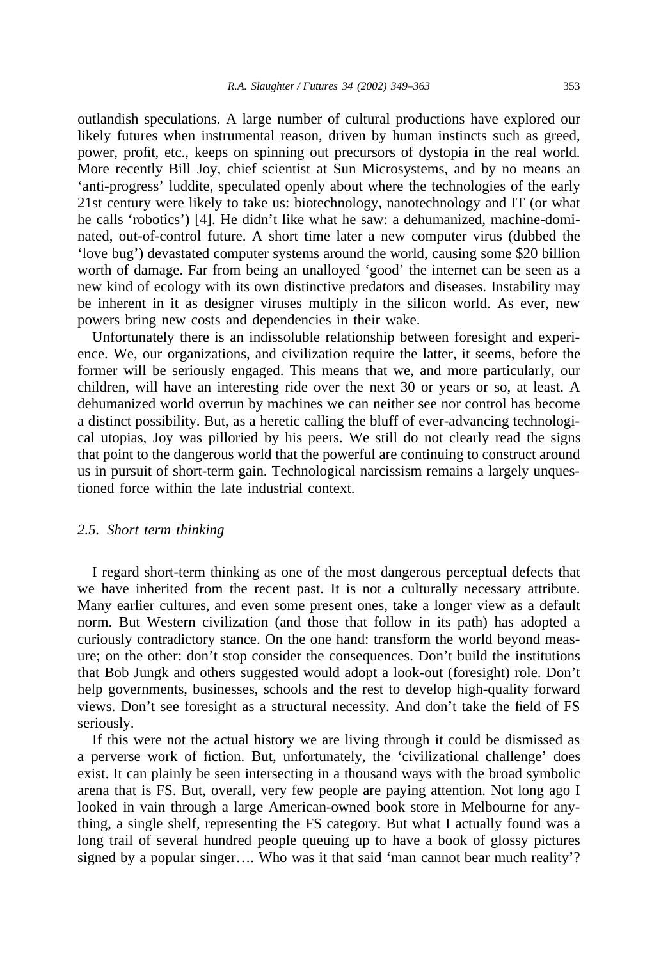outlandish speculations. A large number of cultural productions have explored our likely futures when instrumental reason, driven by human instincts such as greed, power, profit, etc., keeps on spinning out precursors of dystopia in the real world. More recently Bill Joy, chief scientist at Sun Microsystems, and by no means an 'anti-progress' luddite, speculated openly about where the technologies of the early 21st century were likely to take us: biotechnology, nanotechnology and IT (or what he calls 'robotics') [4]. He didn't like what he saw: a dehumanized, machine-dominated, out-of-control future. A short time later a new computer virus (dubbed the 'love bug') devastated computer systems around the world, causing some \$20 billion worth of damage. Far from being an unalloyed 'good' the internet can be seen as a new kind of ecology with its own distinctive predators and diseases. Instability may be inherent in it as designer viruses multiply in the silicon world. As ever, new powers bring new costs and dependencies in their wake.

Unfortunately there is an indissoluble relationship between foresight and experience. We, our organizations, and civilization require the latter, it seems, before the former will be seriously engaged. This means that we, and more particularly, our children, will have an interesting ride over the next 30 or years or so, at least. A dehumanized world overrun by machines we can neither see nor control has become a distinct possibility. But, as a heretic calling the bluff of ever-advancing technological utopias, Joy was pilloried by his peers. We still do not clearly read the signs that point to the dangerous world that the powerful are continuing to construct around us in pursuit of short-term gain. Technological narcissism remains a largely unquestioned force within the late industrial context.

# *2.5. Short term thinking*

I regard short-term thinking as one of the most dangerous perceptual defects that we have inherited from the recent past. It is not a culturally necessary attribute. Many earlier cultures, and even some present ones, take a longer view as a default norm. But Western civilization (and those that follow in its path) has adopted a curiously contradictory stance. On the one hand: transform the world beyond measure; on the other: don't stop consider the consequences. Don't build the institutions that Bob Jungk and others suggested would adopt a look-out (foresight) role. Don't help governments, businesses, schools and the rest to develop high-quality forward views. Don't see foresight as a structural necessity. And don't take the field of FS seriously.

If this were not the actual history we are living through it could be dismissed as a perverse work of fiction. But, unfortunately, the 'civilizational challenge' does exist. It can plainly be seen intersecting in a thousand ways with the broad symbolic arena that is FS. But, overall, very few people are paying attention. Not long ago I looked in vain through a large American-owned book store in Melbourne for anything, a single shelf, representing the FS category. But what I actually found was a long trail of several hundred people queuing up to have a book of glossy pictures signed by a popular singer…. Who was it that said 'man cannot bear much reality'?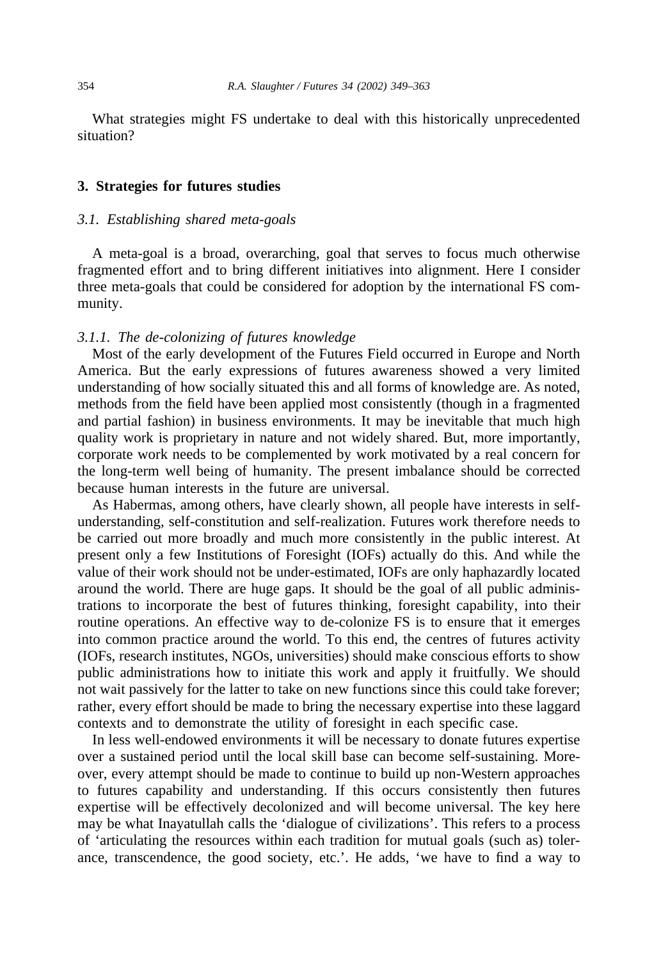What strategies might FS undertake to deal with this historically unprecedented situation?

#### **3. Strategies for futures studies**

# *3.1. Establishing shared meta-goals*

A meta-goal is a broad, overarching, goal that serves to focus much otherwise fragmented effort and to bring different initiatives into alignment. Here I consider three meta-goals that could be considered for adoption by the international FS community.

# *3.1.1. The de-colonizing of futures knowledge*

Most of the early development of the Futures Field occurred in Europe and North America. But the early expressions of futures awareness showed a very limited understanding of how socially situated this and all forms of knowledge are. As noted, methods from the field have been applied most consistently (though in a fragmented and partial fashion) in business environments. It may be inevitable that much high quality work is proprietary in nature and not widely shared. But, more importantly, corporate work needs to be complemented by work motivated by a real concern for the long-term well being of humanity. The present imbalance should be corrected because human interests in the future are universal.

As Habermas, among others, have clearly shown, all people have interests in selfunderstanding, self-constitution and self-realization. Futures work therefore needs to be carried out more broadly and much more consistently in the public interest. At present only a few Institutions of Foresight (IOFs) actually do this. And while the value of their work should not be under-estimated, IOFs are only haphazardly located around the world. There are huge gaps. It should be the goal of all public administrations to incorporate the best of futures thinking, foresight capability, into their routine operations. An effective way to de-colonize FS is to ensure that it emerges into common practice around the world. To this end, the centres of futures activity (IOFs, research institutes, NGOs, universities) should make conscious efforts to show public administrations how to initiate this work and apply it fruitfully. We should not wait passively for the latter to take on new functions since this could take forever; rather, every effort should be made to bring the necessary expertise into these laggard contexts and to demonstrate the utility of foresight in each specific case.

In less well-endowed environments it will be necessary to donate futures expertise over a sustained period until the local skill base can become self-sustaining. Moreover, every attempt should be made to continue to build up non-Western approaches to futures capability and understanding. If this occurs consistently then futures expertise will be effectively decolonized and will become universal. The key here may be what Inayatullah calls the 'dialogue of civilizations'. This refers to a process of 'articulating the resources within each tradition for mutual goals (such as) tolerance, transcendence, the good society, etc.'. He adds, 'we have to find a way to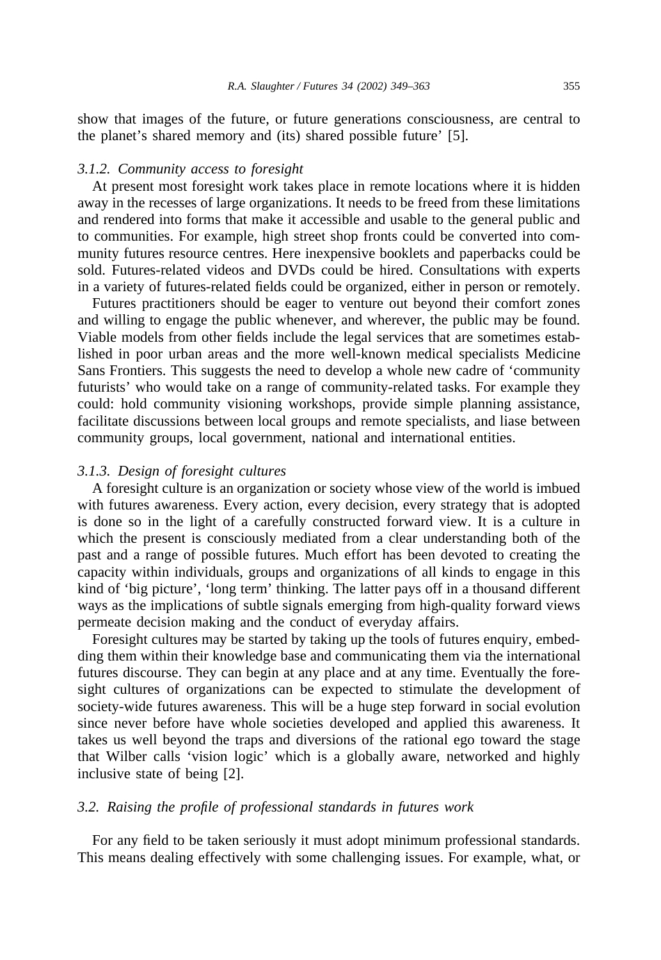show that images of the future, or future generations consciousness, are central to the planet's shared memory and (its) shared possible future' [5].

## *3.1.2. Community access to foresight*

At present most foresight work takes place in remote locations where it is hidden away in the recesses of large organizations. It needs to be freed from these limitations and rendered into forms that make it accessible and usable to the general public and to communities. For example, high street shop fronts could be converted into community futures resource centres. Here inexpensive booklets and paperbacks could be sold. Futures-related videos and DVDs could be hired. Consultations with experts in a variety of futures-related fields could be organized, either in person or remotely.

Futures practitioners should be eager to venture out beyond their comfort zones and willing to engage the public whenever, and wherever, the public may be found. Viable models from other fields include the legal services that are sometimes established in poor urban areas and the more well-known medical specialists Medicine Sans Frontiers. This suggests the need to develop a whole new cadre of 'community futurists' who would take on a range of community-related tasks. For example they could: hold community visioning workshops, provide simple planning assistance, facilitate discussions between local groups and remote specialists, and liase between community groups, local government, national and international entities.

#### *3.1.3. Design of foresight cultures*

A foresight culture is an organization or society whose view of the world is imbued with futures awareness. Every action, every decision, every strategy that is adopted is done so in the light of a carefully constructed forward view. It is a culture in which the present is consciously mediated from a clear understanding both of the past and a range of possible futures. Much effort has been devoted to creating the capacity within individuals, groups and organizations of all kinds to engage in this kind of 'big picture', 'long term' thinking. The latter pays off in a thousand different ways as the implications of subtle signals emerging from high-quality forward views permeate decision making and the conduct of everyday affairs.

Foresight cultures may be started by taking up the tools of futures enquiry, embedding them within their knowledge base and communicating them via the international futures discourse. They can begin at any place and at any time. Eventually the foresight cultures of organizations can be expected to stimulate the development of society-wide futures awareness. This will be a huge step forward in social evolution since never before have whole societies developed and applied this awareness. It takes us well beyond the traps and diversions of the rational ego toward the stage that Wilber calls 'vision logic' which is a globally aware, networked and highly inclusive state of being [2].

# *3.2. Raising the profile of professional standards in futures work*

For any field to be taken seriously it must adopt minimum professional standards. This means dealing effectively with some challenging issues. For example, what, or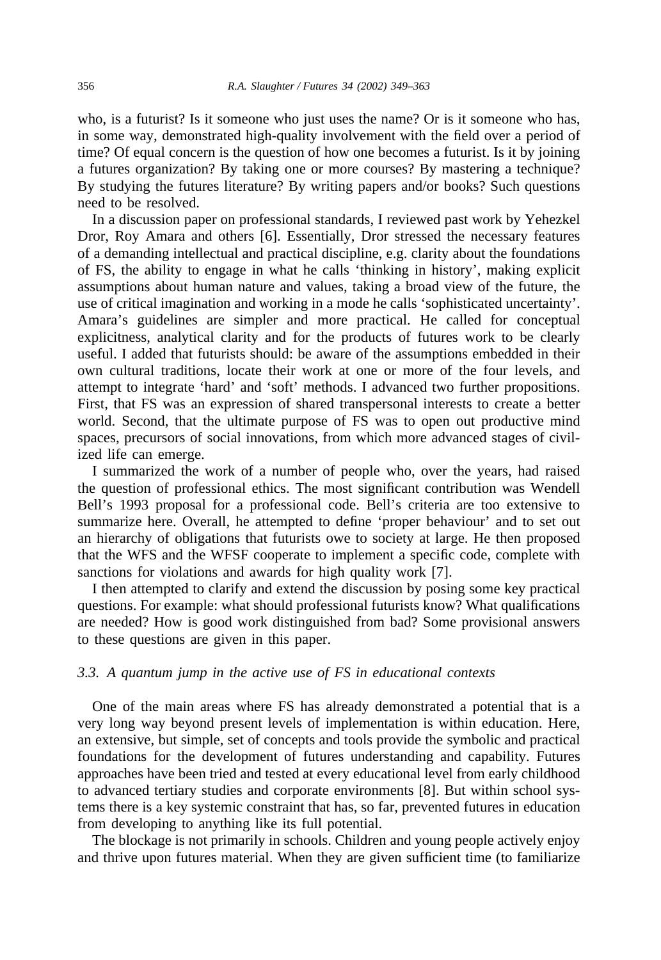who, is a futurist? Is it someone who just uses the name? Or is it someone who has, in some way, demonstrated high-quality involvement with the field over a period of time? Of equal concern is the question of how one becomes a futurist. Is it by joining a futures organization? By taking one or more courses? By mastering a technique? By studying the futures literature? By writing papers and/or books? Such questions need to be resolved.

In a discussion paper on professional standards, I reviewed past work by Yehezkel Dror, Roy Amara and others [6]. Essentially, Dror stressed the necessary features of a demanding intellectual and practical discipline, e.g. clarity about the foundations of FS, the ability to engage in what he calls 'thinking in history', making explicit assumptions about human nature and values, taking a broad view of the future, the use of critical imagination and working in a mode he calls 'sophisticated uncertainty'. Amara's guidelines are simpler and more practical. He called for conceptual explicitness, analytical clarity and for the products of futures work to be clearly useful. I added that futurists should: be aware of the assumptions embedded in their own cultural traditions, locate their work at one or more of the four levels, and attempt to integrate 'hard' and 'soft' methods. I advanced two further propositions. First, that FS was an expression of shared transpersonal interests to create a better world. Second, that the ultimate purpose of FS was to open out productive mind spaces, precursors of social innovations, from which more advanced stages of civilized life can emerge.

I summarized the work of a number of people who, over the years, had raised the question of professional ethics. The most significant contribution was Wendell Bell's 1993 proposal for a professional code. Bell's criteria are too extensive to summarize here. Overall, he attempted to define 'proper behaviour' and to set out an hierarchy of obligations that futurists owe to society at large. He then proposed that the WFS and the WFSF cooperate to implement a specific code, complete with sanctions for violations and awards for high quality work [7].

I then attempted to clarify and extend the discussion by posing some key practical questions. For example: what should professional futurists know? What qualifications are needed? How is good work distinguished from bad? Some provisional answers to these questions are given in this paper.

# *3.3. A quantum jump in the active use of FS in educational contexts*

One of the main areas where FS has already demonstrated a potential that is a very long way beyond present levels of implementation is within education. Here, an extensive, but simple, set of concepts and tools provide the symbolic and practical foundations for the development of futures understanding and capability. Futures approaches have been tried and tested at every educational level from early childhood to advanced tertiary studies and corporate environments [8]. But within school systems there is a key systemic constraint that has, so far, prevented futures in education from developing to anything like its full potential.

The blockage is not primarily in schools. Children and young people actively enjoy and thrive upon futures material. When they are given sufficient time (to familiarize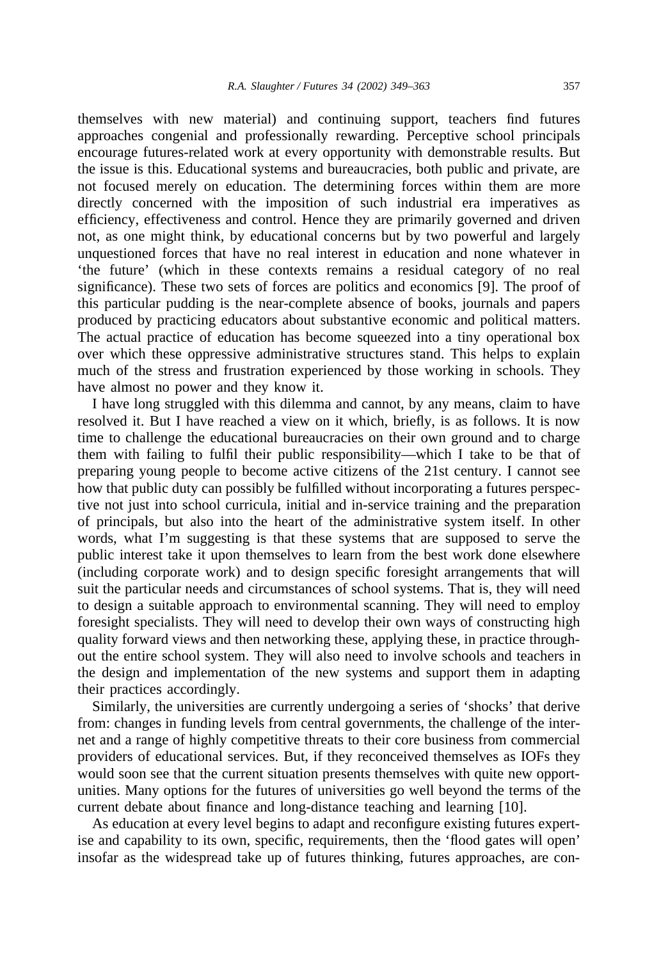themselves with new material) and continuing support, teachers find futures approaches congenial and professionally rewarding. Perceptive school principals encourage futures-related work at every opportunity with demonstrable results. But the issue is this. Educational systems and bureaucracies, both public and private, are not focused merely on education. The determining forces within them are more directly concerned with the imposition of such industrial era imperatives as efficiency, effectiveness and control. Hence they are primarily governed and driven not, as one might think, by educational concerns but by two powerful and largely unquestioned forces that have no real interest in education and none whatever in 'the future' (which in these contexts remains a residual category of no real significance). These two sets of forces are politics and economics [9]. The proof of this particular pudding is the near-complete absence of books, journals and papers produced by practicing educators about substantive economic and political matters. The actual practice of education has become squeezed into a tiny operational box over which these oppressive administrative structures stand. This helps to explain much of the stress and frustration experienced by those working in schools. They have almost no power and they know it.

I have long struggled with this dilemma and cannot, by any means, claim to have resolved it. But I have reached a view on it which, briefly, is as follows. It is now time to challenge the educational bureaucracies on their own ground and to charge them with failing to fulfil their public responsibility—which I take to be that of preparing young people to become active citizens of the 21st century. I cannot see how that public duty can possibly be fulfilled without incorporating a futures perspective not just into school curricula, initial and in-service training and the preparation of principals, but also into the heart of the administrative system itself. In other words, what I'm suggesting is that these systems that are supposed to serve the public interest take it upon themselves to learn from the best work done elsewhere (including corporate work) and to design specific foresight arrangements that will suit the particular needs and circumstances of school systems. That is, they will need to design a suitable approach to environmental scanning. They will need to employ foresight specialists. They will need to develop their own ways of constructing high quality forward views and then networking these, applying these, in practice throughout the entire school system. They will also need to involve schools and teachers in the design and implementation of the new systems and support them in adapting their practices accordingly.

Similarly, the universities are currently undergoing a series of 'shocks' that derive from: changes in funding levels from central governments, the challenge of the internet and a range of highly competitive threats to their core business from commercial providers of educational services. But, if they reconceived themselves as IOFs they would soon see that the current situation presents themselves with quite new opportunities. Many options for the futures of universities go well beyond the terms of the current debate about finance and long-distance teaching and learning [10].

As education at every level begins to adapt and reconfigure existing futures expertise and capability to its own, specific, requirements, then the 'flood gates will open' insofar as the widespread take up of futures thinking, futures approaches, are con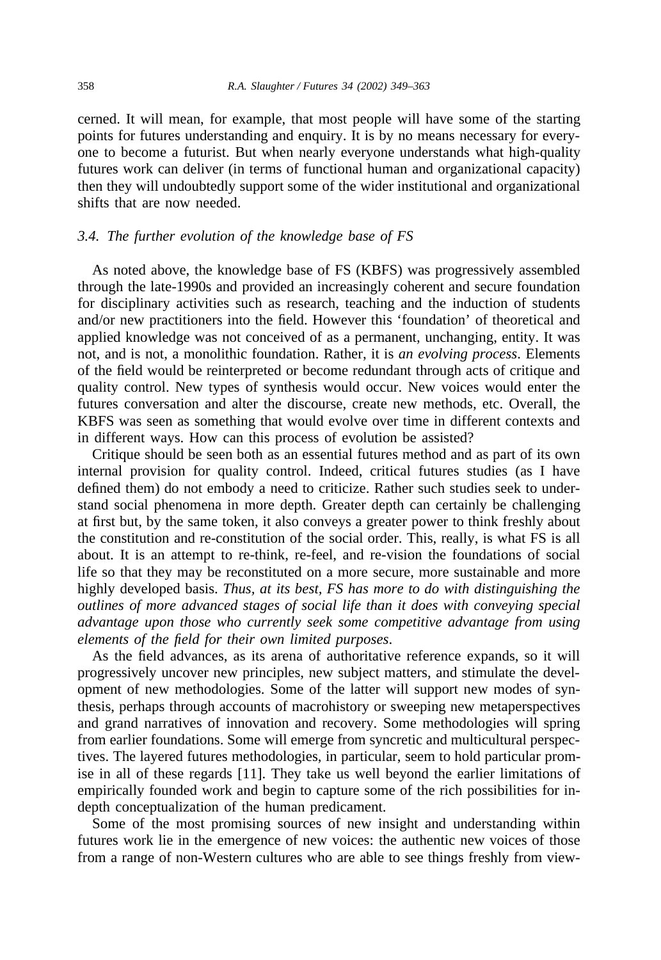cerned. It will mean, for example, that most people will have some of the starting points for futures understanding and enquiry. It is by no means necessary for everyone to become a futurist. But when nearly everyone understands what high-quality futures work can deliver (in terms of functional human and organizational capacity) then they will undoubtedly support some of the wider institutional and organizational shifts that are now needed.

# *3.4. The further evolution of the knowledge base of FS*

As noted above, the knowledge base of FS (KBFS) was progressively assembled through the late-1990s and provided an increasingly coherent and secure foundation for disciplinary activities such as research, teaching and the induction of students and/or new practitioners into the field. However this 'foundation' of theoretical and applied knowledge was not conceived of as a permanent, unchanging, entity. It was not, and is not, a monolithic foundation. Rather, it is *an evolving process*. Elements of the field would be reinterpreted or become redundant through acts of critique and quality control. New types of synthesis would occur. New voices would enter the futures conversation and alter the discourse, create new methods, etc. Overall, the KBFS was seen as something that would evolve over time in different contexts and in different ways. How can this process of evolution be assisted?

Critique should be seen both as an essential futures method and as part of its own internal provision for quality control. Indeed, critical futures studies (as I have defined them) do not embody a need to criticize. Rather such studies seek to understand social phenomena in more depth. Greater depth can certainly be challenging at first but, by the same token, it also conveys a greater power to think freshly about the constitution and re-constitution of the social order. This, really, is what FS is all about. It is an attempt to re-think, re-feel, and re-vision the foundations of social life so that they may be reconstituted on a more secure, more sustainable and more highly developed basis. *Thus, at its best, FS has more to do with distinguishing the outlines of more advanced stages of social life than it does with conveying special advantage upon those who currently seek some competitive advantage from using elements of the field for their own limited purposes*.

As the field advances, as its arena of authoritative reference expands, so it will progressively uncover new principles, new subject matters, and stimulate the development of new methodologies. Some of the latter will support new modes of synthesis, perhaps through accounts of macrohistory or sweeping new metaperspectives and grand narratives of innovation and recovery. Some methodologies will spring from earlier foundations. Some will emerge from syncretic and multicultural perspectives. The layered futures methodologies, in particular, seem to hold particular promise in all of these regards [11]. They take us well beyond the earlier limitations of empirically founded work and begin to capture some of the rich possibilities for indepth conceptualization of the human predicament.

Some of the most promising sources of new insight and understanding within futures work lie in the emergence of new voices: the authentic new voices of those from a range of non-Western cultures who are able to see things freshly from view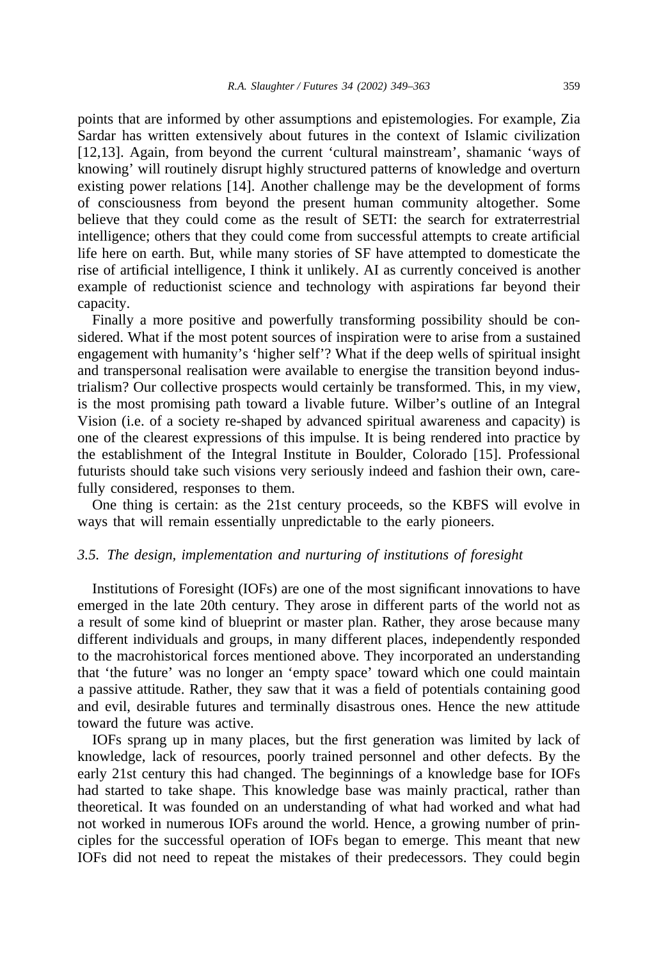points that are informed by other assumptions and epistemologies. For example, Zia Sardar has written extensively about futures in the context of Islamic civilization [12,13]. Again, from beyond the current 'cultural mainstream', shamanic 'ways of knowing' will routinely disrupt highly structured patterns of knowledge and overturn existing power relations [14]. Another challenge may be the development of forms of consciousness from beyond the present human community altogether. Some believe that they could come as the result of SETI: the search for extraterrestrial intelligence; others that they could come from successful attempts to create artificial life here on earth. But, while many stories of SF have attempted to domesticate the rise of artificial intelligence, I think it unlikely. AI as currently conceived is another example of reductionist science and technology with aspirations far beyond their capacity.

Finally a more positive and powerfully transforming possibility should be considered. What if the most potent sources of inspiration were to arise from a sustained engagement with humanity's 'higher self'? What if the deep wells of spiritual insight and transpersonal realisation were available to energise the transition beyond industrialism? Our collective prospects would certainly be transformed. This, in my view, is the most promising path toward a livable future. Wilber's outline of an Integral Vision (i.e. of a society re-shaped by advanced spiritual awareness and capacity) is one of the clearest expressions of this impulse. It is being rendered into practice by the establishment of the Integral Institute in Boulder, Colorado [15]. Professional futurists should take such visions very seriously indeed and fashion their own, carefully considered, responses to them.

One thing is certain: as the 21st century proceeds, so the KBFS will evolve in ways that will remain essentially unpredictable to the early pioneers.

# *3.5. The design, implementation and nurturing of institutions of foresight*

Institutions of Foresight (IOFs) are one of the most significant innovations to have emerged in the late 20th century. They arose in different parts of the world not as a result of some kind of blueprint or master plan. Rather, they arose because many different individuals and groups, in many different places, independently responded to the macrohistorical forces mentioned above. They incorporated an understanding that 'the future' was no longer an 'empty space' toward which one could maintain a passive attitude. Rather, they saw that it was a field of potentials containing good and evil, desirable futures and terminally disastrous ones. Hence the new attitude toward the future was active.

IOFs sprang up in many places, but the first generation was limited by lack of knowledge, lack of resources, poorly trained personnel and other defects. By the early 21st century this had changed. The beginnings of a knowledge base for IOFs had started to take shape. This knowledge base was mainly practical, rather than theoretical. It was founded on an understanding of what had worked and what had not worked in numerous IOFs around the world. Hence, a growing number of principles for the successful operation of IOFs began to emerge. This meant that new IOFs did not need to repeat the mistakes of their predecessors. They could begin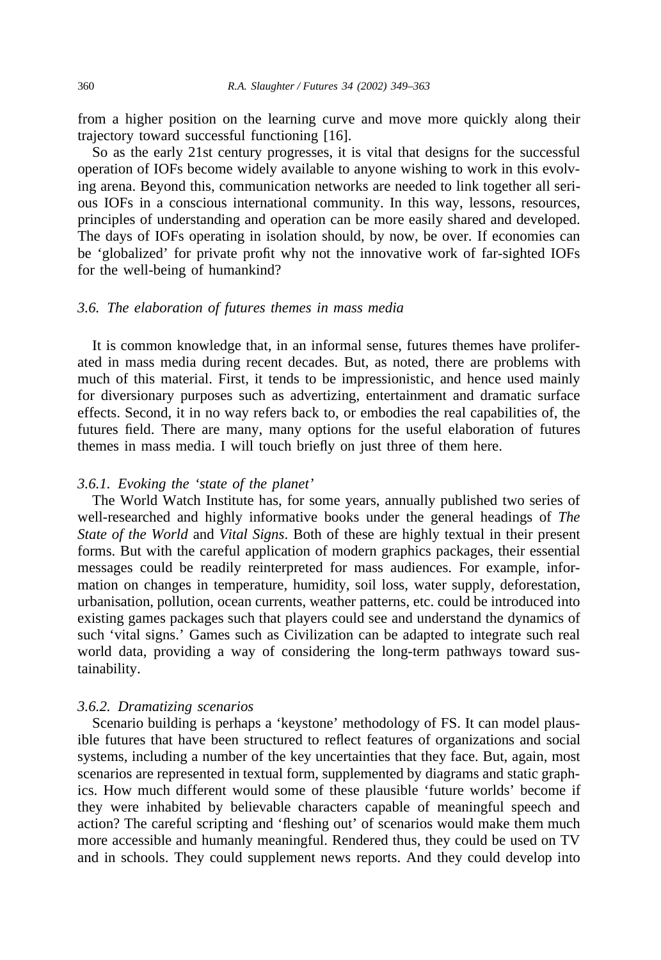from a higher position on the learning curve and move more quickly along their trajectory toward successful functioning [16].

So as the early 21st century progresses, it is vital that designs for the successful operation of IOFs become widely available to anyone wishing to work in this evolving arena. Beyond this, communication networks are needed to link together all serious IOFs in a conscious international community. In this way, lessons, resources, principles of understanding and operation can be more easily shared and developed. The days of IOFs operating in isolation should, by now, be over. If economies can be 'globalized' for private profit why not the innovative work of far-sighted IOFs for the well-being of humankind?

#### *3.6. The elaboration of futures themes in mass media*

It is common knowledge that, in an informal sense, futures themes have proliferated in mass media during recent decades. But, as noted, there are problems with much of this material. First, it tends to be impressionistic, and hence used mainly for diversionary purposes such as advertizing, entertainment and dramatic surface effects. Second, it in no way refers back to, or embodies the real capabilities of, the futures field. There are many, many options for the useful elaboration of futures themes in mass media. I will touch briefly on just three of them here.

#### *3.6.1. Evoking the 'state of the planet'*

The World Watch Institute has, for some years, annually published two series of well-researched and highly informative books under the general headings of *The State of the World* and *Vital Signs*. Both of these are highly textual in their present forms. But with the careful application of modern graphics packages, their essential messages could be readily reinterpreted for mass audiences. For example, information on changes in temperature, humidity, soil loss, water supply, deforestation, urbanisation, pollution, ocean currents, weather patterns, etc. could be introduced into existing games packages such that players could see and understand the dynamics of such 'vital signs.' Games such as Civilization can be adapted to integrate such real world data, providing a way of considering the long-term pathways toward sustainability.

#### *3.6.2. Dramatizing scenarios*

Scenario building is perhaps a 'keystone' methodology of FS. It can model plausible futures that have been structured to reflect features of organizations and social systems, including a number of the key uncertainties that they face. But, again, most scenarios are represented in textual form, supplemented by diagrams and static graphics. How much different would some of these plausible 'future worlds' become if they were inhabited by believable characters capable of meaningful speech and action? The careful scripting and 'fleshing out' of scenarios would make them much more accessible and humanly meaningful. Rendered thus, they could be used on TV and in schools. They could supplement news reports. And they could develop into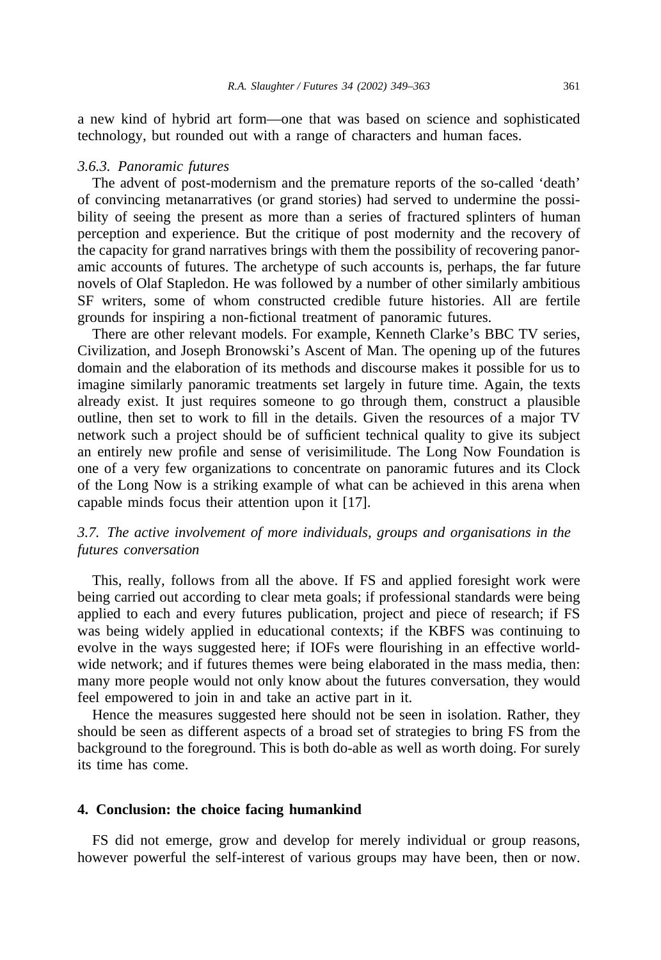a new kind of hybrid art form—one that was based on science and sophisticated technology, but rounded out with a range of characters and human faces.

#### *3.6.3. Panoramic futures*

The advent of post-modernism and the premature reports of the so-called 'death' of convincing metanarratives (or grand stories) had served to undermine the possibility of seeing the present as more than a series of fractured splinters of human perception and experience. But the critique of post modernity and the recovery of the capacity for grand narratives brings with them the possibility of recovering panoramic accounts of futures. The archetype of such accounts is, perhaps, the far future novels of Olaf Stapledon. He was followed by a number of other similarly ambitious SF writers, some of whom constructed credible future histories. All are fertile grounds for inspiring a non-fictional treatment of panoramic futures.

There are other relevant models. For example, Kenneth Clarke's BBC TV series, Civilization, and Joseph Bronowski's Ascent of Man. The opening up of the futures domain and the elaboration of its methods and discourse makes it possible for us to imagine similarly panoramic treatments set largely in future time. Again, the texts already exist. It just requires someone to go through them, construct a plausible outline, then set to work to fill in the details. Given the resources of a major TV network such a project should be of sufficient technical quality to give its subject an entirely new profile and sense of verisimilitude. The Long Now Foundation is one of a very few organizations to concentrate on panoramic futures and its Clock of the Long Now is a striking example of what can be achieved in this arena when capable minds focus their attention upon it [17].

# *3.7. The active involvement of more individuals, groups and organisations in the futures conversation*

This, really, follows from all the above. If FS and applied foresight work were being carried out according to clear meta goals; if professional standards were being applied to each and every futures publication, project and piece of research; if FS was being widely applied in educational contexts; if the KBFS was continuing to evolve in the ways suggested here; if IOFs were flourishing in an effective worldwide network; and if futures themes were being elaborated in the mass media, then: many more people would not only know about the futures conversation, they would feel empowered to join in and take an active part in it.

Hence the measures suggested here should not be seen in isolation. Rather, they should be seen as different aspects of a broad set of strategies to bring FS from the background to the foreground. This is both do-able as well as worth doing. For surely its time has come.

## **4. Conclusion: the choice facing humankind**

FS did not emerge, grow and develop for merely individual or group reasons, however powerful the self-interest of various groups may have been, then or now.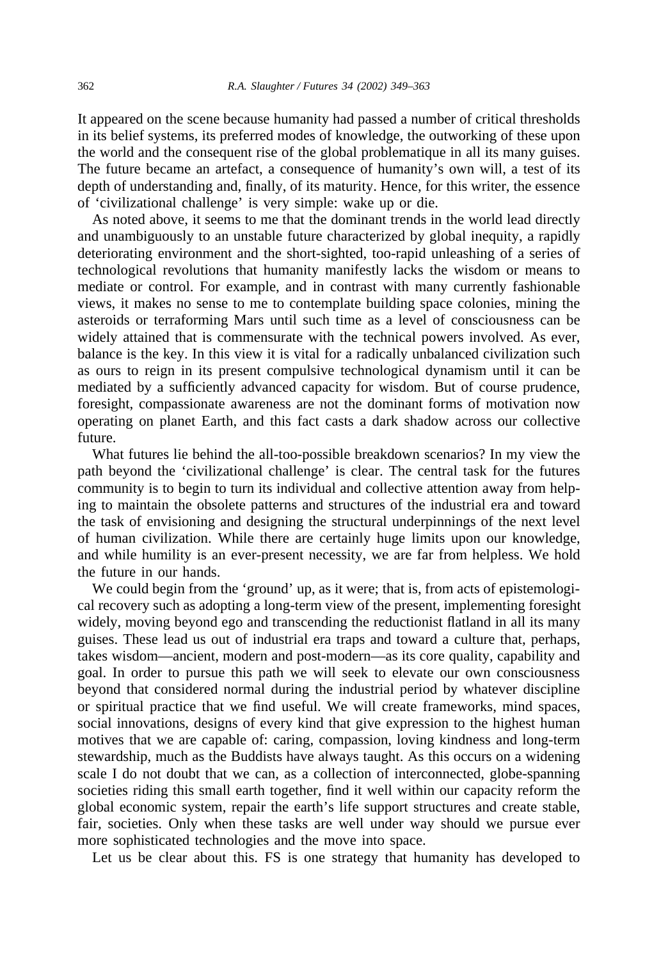It appeared on the scene because humanity had passed a number of critical thresholds in its belief systems, its preferred modes of knowledge, the outworking of these upon the world and the consequent rise of the global problematique in all its many guises. The future became an artefact, a consequence of humanity's own will, a test of its depth of understanding and, finally, of its maturity. Hence, for this writer, the essence of 'civilizational challenge' is very simple: wake up or die.

As noted above, it seems to me that the dominant trends in the world lead directly and unambiguously to an unstable future characterized by global inequity, a rapidly deteriorating environment and the short-sighted, too-rapid unleashing of a series of technological revolutions that humanity manifestly lacks the wisdom or means to mediate or control. For example, and in contrast with many currently fashionable views, it makes no sense to me to contemplate building space colonies, mining the asteroids or terraforming Mars until such time as a level of consciousness can be widely attained that is commensurate with the technical powers involved. As ever, balance is the key. In this view it is vital for a radically unbalanced civilization such as ours to reign in its present compulsive technological dynamism until it can be mediated by a sufficiently advanced capacity for wisdom. But of course prudence, foresight, compassionate awareness are not the dominant forms of motivation now operating on planet Earth, and this fact casts a dark shadow across our collective future.

What futures lie behind the all-too-possible breakdown scenarios? In my view the path beyond the 'civilizational challenge' is clear. The central task for the futures community is to begin to turn its individual and collective attention away from helping to maintain the obsolete patterns and structures of the industrial era and toward the task of envisioning and designing the structural underpinnings of the next level of human civilization. While there are certainly huge limits upon our knowledge, and while humility is an ever-present necessity, we are far from helpless. We hold the future in our hands.

We could begin from the 'ground' up, as it were; that is, from acts of epistemological recovery such as adopting a long-term view of the present, implementing foresight widely, moving beyond ego and transcending the reductionist flatland in all its many guises. These lead us out of industrial era traps and toward a culture that, perhaps, takes wisdom—ancient, modern and post-modern—as its core quality, capability and goal. In order to pursue this path we will seek to elevate our own consciousness beyond that considered normal during the industrial period by whatever discipline or spiritual practice that we find useful. We will create frameworks, mind spaces, social innovations, designs of every kind that give expression to the highest human motives that we are capable of: caring, compassion, loving kindness and long-term stewardship, much as the Buddists have always taught. As this occurs on a widening scale I do not doubt that we can, as a collection of interconnected, globe-spanning societies riding this small earth together, find it well within our capacity reform the global economic system, repair the earth's life support structures and create stable, fair, societies. Only when these tasks are well under way should we pursue ever more sophisticated technologies and the move into space.

Let us be clear about this. FS is one strategy that humanity has developed to